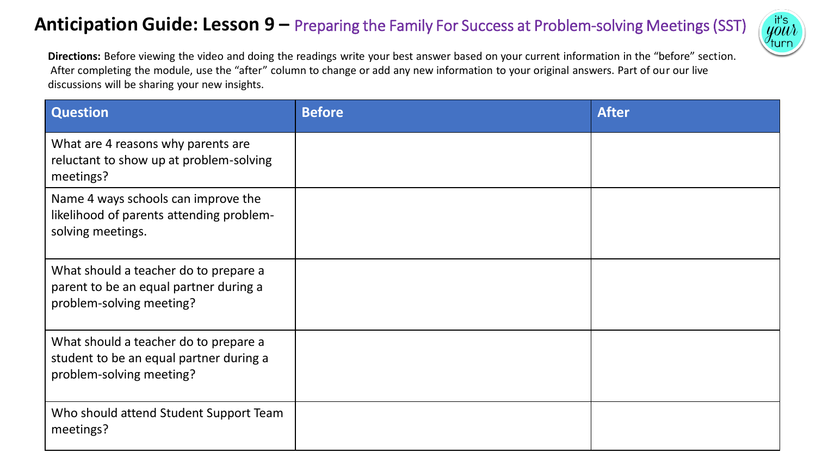## **Anticipation Guide: Lesson 9 –** Preparing the Family For Success at Problem-solving Meetings (SST)



**Directions:** Before viewing the video and doing the readings write your best answer based on your current information in the "before" section. After completing the module, use the "after" column to change or add any new information to your original answers. Part of our our live discussions will be sharing your new insights.

| <b>Question</b>                                                                                              | <b>Before</b> | <b>After</b> |
|--------------------------------------------------------------------------------------------------------------|---------------|--------------|
| What are 4 reasons why parents are<br>reluctant to show up at problem-solving<br>meetings?                   |               |              |
| Name 4 ways schools can improve the<br>likelihood of parents attending problem-<br>solving meetings.         |               |              |
| What should a teacher do to prepare a<br>parent to be an equal partner during a<br>problem-solving meeting?  |               |              |
| What should a teacher do to prepare a<br>student to be an equal partner during a<br>problem-solving meeting? |               |              |
| Who should attend Student Support Team<br>meetings?                                                          |               |              |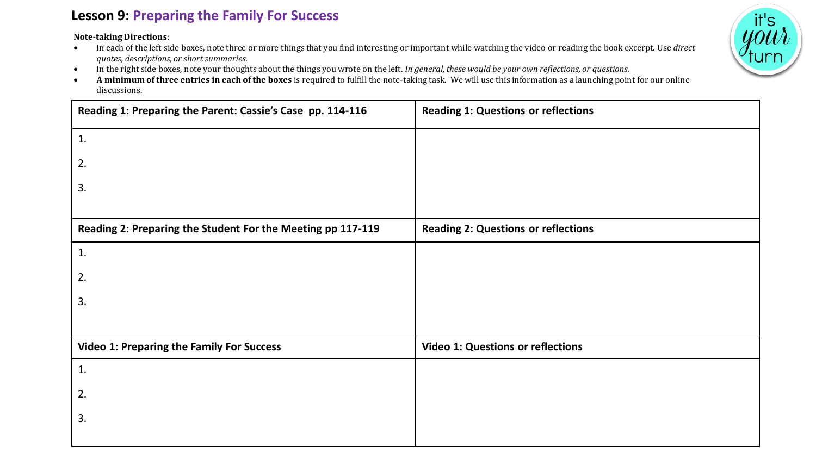## **Lesson 9: Preparing the Family For Success**

**Note-taking Directions**:

- In each of the left side boxes, note three or more things that you find interesting or important while watching the video or reading the book excerpt. Use *direct quotes, descriptions, or short summaries.*
- In the right side boxes, note your thoughts about the things you wrote on the left. *In general, these would be your own reflections, or questions.*
- **A minimum of three entries in each of the boxes** is required to fulfill the note-taking task. We will use this information as a launching point for our online discussions.

| Reading 1: Preparing the Parent: Cassie's Case pp. 114-116  | <b>Reading 1: Questions or reflections</b> |
|-------------------------------------------------------------|--------------------------------------------|
| 1.                                                          |                                            |
| 2.                                                          |                                            |
| 3.                                                          |                                            |
|                                                             |                                            |
| Reading 2: Preparing the Student For the Meeting pp 117-119 | <b>Reading 2: Questions or reflections</b> |
| 1.                                                          |                                            |
| 2.                                                          |                                            |
| 3.                                                          |                                            |
|                                                             |                                            |
| <b>Video 1: Preparing the Family For Success</b>            | <b>Video 1: Questions or reflections</b>   |
| 1.                                                          |                                            |
| 2.                                                          |                                            |
| 3.                                                          |                                            |
|                                                             |                                            |